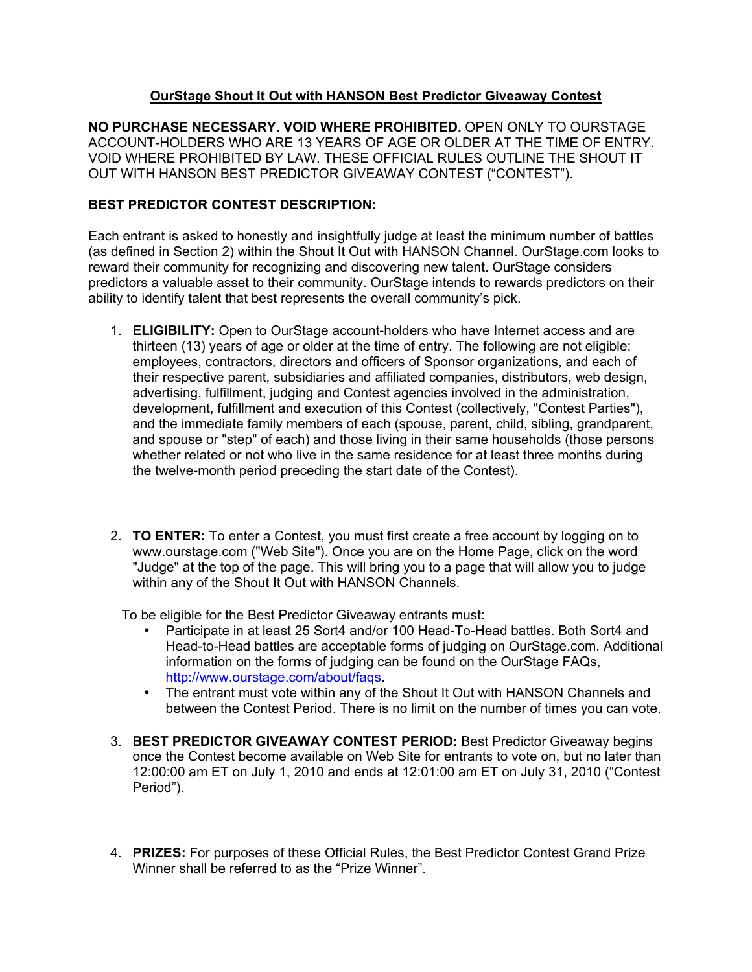## **OurStage Shout It Out with HANSON Best Predictor Giveaway Contest**

**NO PURCHASE NECESSARY. VOID WHERE PROHIBITED.** OPEN ONLY TO OURSTAGE ACCOUNT-HOLDERS WHO ARE 13 YEARS OF AGE OR OLDER AT THE TIME OF ENTRY. VOID WHERE PROHIBITED BY LAW. THESE OFFICIAL RULES OUTLINE THE SHOUT IT OUT WITH HANSON BEST PREDICTOR GIVEAWAY CONTEST ("CONTEST").

## **BEST PREDICTOR CONTEST DESCRIPTION:**

Each entrant is asked to honestly and insightfully judge at least the minimum number of battles (as defined in Section 2) within the Shout It Out with HANSON Channel. OurStage.com looks to reward their community for recognizing and discovering new talent. OurStage considers predictors a valuable asset to their community. OurStage intends to rewards predictors on their ability to identify talent that best represents the overall community's pick.

- 1. **ELIGIBILITY:** Open to OurStage account-holders who have Internet access and are thirteen (13) years of age or older at the time of entry. The following are not eligible: employees, contractors, directors and officers of Sponsor organizations, and each of their respective parent, subsidiaries and affiliated companies, distributors, web design, advertising, fulfillment, judging and Contest agencies involved in the administration, development, fulfillment and execution of this Contest (collectively, "Contest Parties"), and the immediate family members of each (spouse, parent, child, sibling, grandparent, and spouse or "step" of each) and those living in their same households (those persons whether related or not who live in the same residence for at least three months during the twelve-month period preceding the start date of the Contest).
- 2. **TO ENTER:** To enter a Contest, you must first create a free account by logging on to www.ourstage.com ("Web Site"). Once you are on the Home Page, click on the word "Judge" at the top of the page. This will bring you to a page that will allow you to judge within any of the Shout It Out with HANSON Channels.

To be eligible for the Best Predictor Giveaway entrants must:

- Participate in at least 25 Sort4 and/or 100 Head-To-Head battles. Both Sort4 and Head-to-Head battles are acceptable forms of judging on OurStage.com. Additional information on the forms of judging can be found on the OurStage FAQs, http://www.ourstage.com/about/fags.
- The entrant must vote within any of the Shout It Out with HANSON Channels and between the Contest Period. There is no limit on the number of times you can vote.
- 3. **BEST PREDICTOR GIVEAWAY CONTEST PERIOD:** Best Predictor Giveaway begins once the Contest become available on Web Site for entrants to vote on, but no later than 12:00:00 am ET on July 1, 2010 and ends at 12:01:00 am ET on July 31, 2010 ("Contest Period").
- 4. **PRIZES:** For purposes of these Official Rules, the Best Predictor Contest Grand Prize Winner shall be referred to as the "Prize Winner".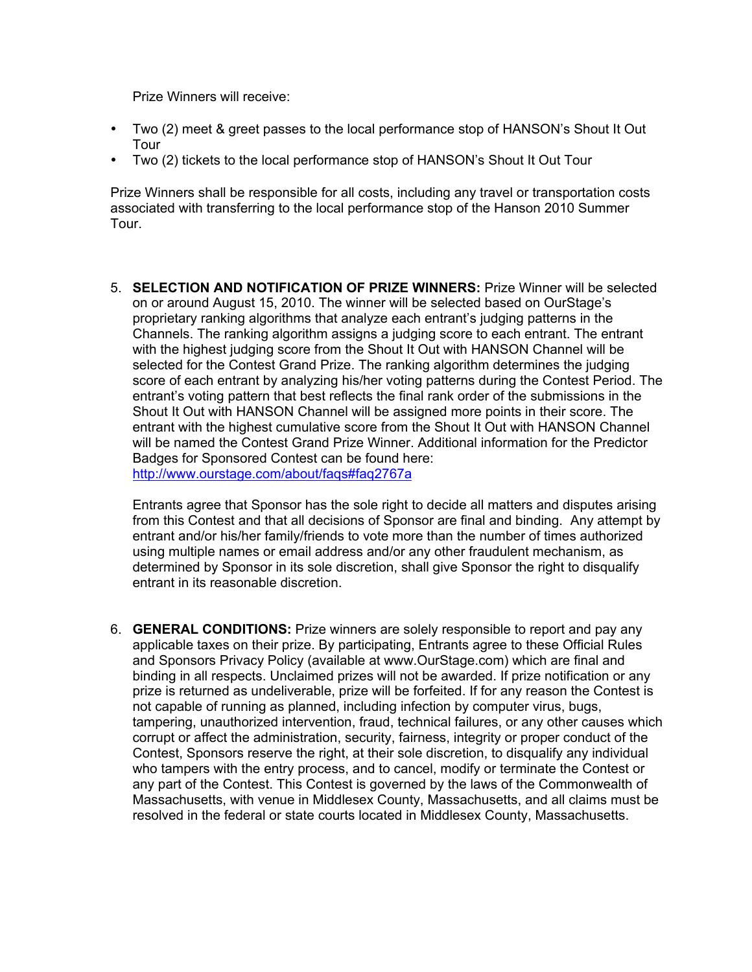Prize Winners will receive:

- Two (2) meet & greet passes to the local performance stop of HANSON's Shout It Out Tour
- Two (2) tickets to the local performance stop of HANSON's Shout It Out Tour

Prize Winners shall be responsible for all costs, including any travel or transportation costs associated with transferring to the local performance stop of the Hanson 2010 Summer Tour.

5. **SELECTION AND NOTIFICATION OF PRIZE WINNERS:** Prize Winner will be selected on or around August 15, 2010. The winner will be selected based on OurStage's proprietary ranking algorithms that analyze each entrant's judging patterns in the Channels. The ranking algorithm assigns a judging score to each entrant. The entrant with the highest judging score from the Shout It Out with HANSON Channel will be selected for the Contest Grand Prize. The ranking algorithm determines the judging score of each entrant by analyzing his/her voting patterns during the Contest Period. The entrant's voting pattern that best reflects the final rank order of the submissions in the Shout It Out with HANSON Channel will be assigned more points in their score. The entrant with the highest cumulative score from the Shout It Out with HANSON Channel will be named the Contest Grand Prize Winner. Additional information for the Predictor Badges for Sponsored Contest can be found here: http://www.ourstage.com/about/fags#faq2767a

Entrants agree that Sponsor has the sole right to decide all matters and disputes arising from this Contest and that all decisions of Sponsor are final and binding. Any attempt by entrant and/or his/her family/friends to vote more than the number of times authorized using multiple names or email address and/or any other fraudulent mechanism, as determined by Sponsor in its sole discretion, shall give Sponsor the right to disqualify entrant in its reasonable discretion.

6. **GENERAL CONDITIONS:** Prize winners are solely responsible to report and pay any applicable taxes on their prize. By participating, Entrants agree to these Official Rules and Sponsors Privacy Policy (available at www.OurStage.com) which are final and binding in all respects. Unclaimed prizes will not be awarded. If prize notification or any prize is returned as undeliverable, prize will be forfeited. If for any reason the Contest is not capable of running as planned, including infection by computer virus, bugs, tampering, unauthorized intervention, fraud, technical failures, or any other causes which corrupt or affect the administration, security, fairness, integrity or proper conduct of the Contest, Sponsors reserve the right, at their sole discretion, to disqualify any individual who tampers with the entry process, and to cancel, modify or terminate the Contest or any part of the Contest. This Contest is governed by the laws of the Commonwealth of Massachusetts, with venue in Middlesex County, Massachusetts, and all claims must be resolved in the federal or state courts located in Middlesex County, Massachusetts.